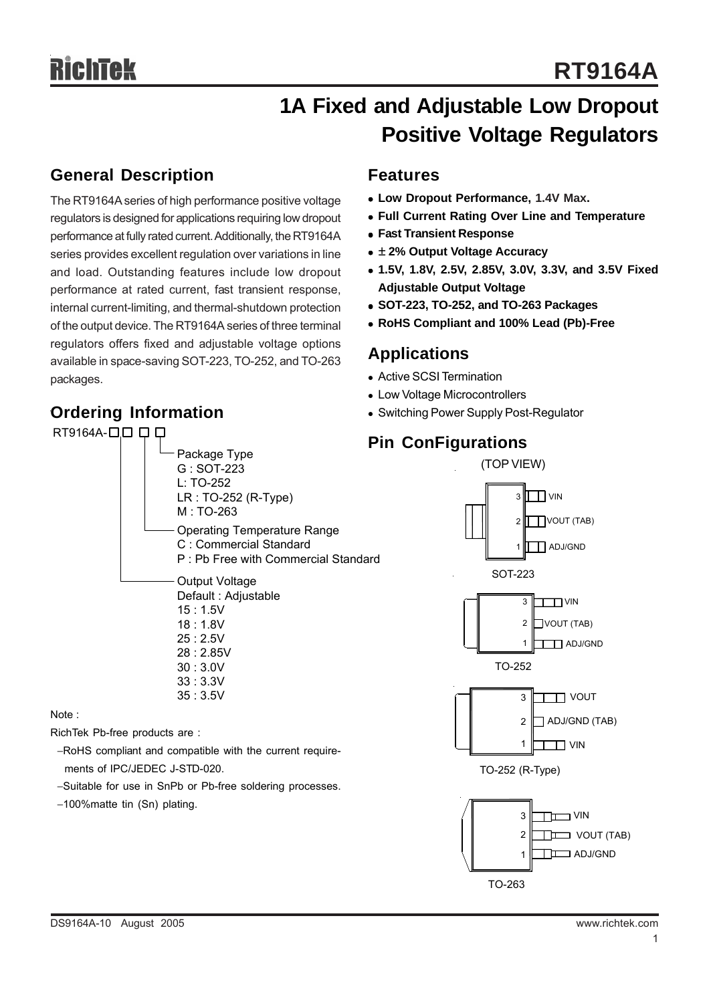## **1A Fixed and Adjustable Low Dropout Positive Voltage Regulators**

### **General Description**

The RT9164A series of high performance positive voltage regulators is designed for applications requiring low dropout performance at fully rated current. Additionally, the RT9164A series provides excellent regulation over variations in line and load. Outstanding features include low dropout performance at rated current, fast transient response, internal current-limiting, and thermal-shutdown protection of the output device. The RT9164A series of three terminal regulators offers fixed and adjustable voltage options available in space-saving SOT-223, TO-252, and TO-263 packages.

> Package Type G : SOT-223 L: TO-252

M : TO-263

Output Voltage Default : Adjustable

15 : 1.5V

LR : TO-252 (R-Type)

Operating Temperature Range C : Commercial Standard

P : Pb Free with Commercial Standard

## **Ordering Information**

RT9164A-000

## **Features**

- **Low Dropout Performance, 1.4V Max.**
- **Full Current Rating Over Line and Temperature**
- <sup>z</sup> **Fast Transient Response**
- <sup>z</sup> **± 2% Output Voltage Accuracy**
- <sup>z</sup> **1.5V, 1.8V, 2.5V, 2.85V, 3.0V, 3.3V, and 3.5V Fixed Adjustable Output Voltage**
- <sup>z</sup> **SOT-223, TO-252, and TO-263 Packages**
- <sup>z</sup> **RoHS Compliant and 100% Lead (Pb)-Free**

### **Applications**

- Active SCSI Termination
- Low Voltage Microcontrollers
- Switching Power Supply Post-Regulator

### **Pin ConFigurations**



- 18 : 1.8V 25 : 2.5V 28 : 2.85V 30 : 3.0V 33 : 3.3V 35 : 3.5V Note : RichTek Pb-free products are : −RoHS compliant and compatible with the current require
	- ments of IPC/JEDEC J-STD-020.
	- −Suitable for use in SnPb or Pb-free soldering processes.
	- −100%matte tin (Sn) plating.

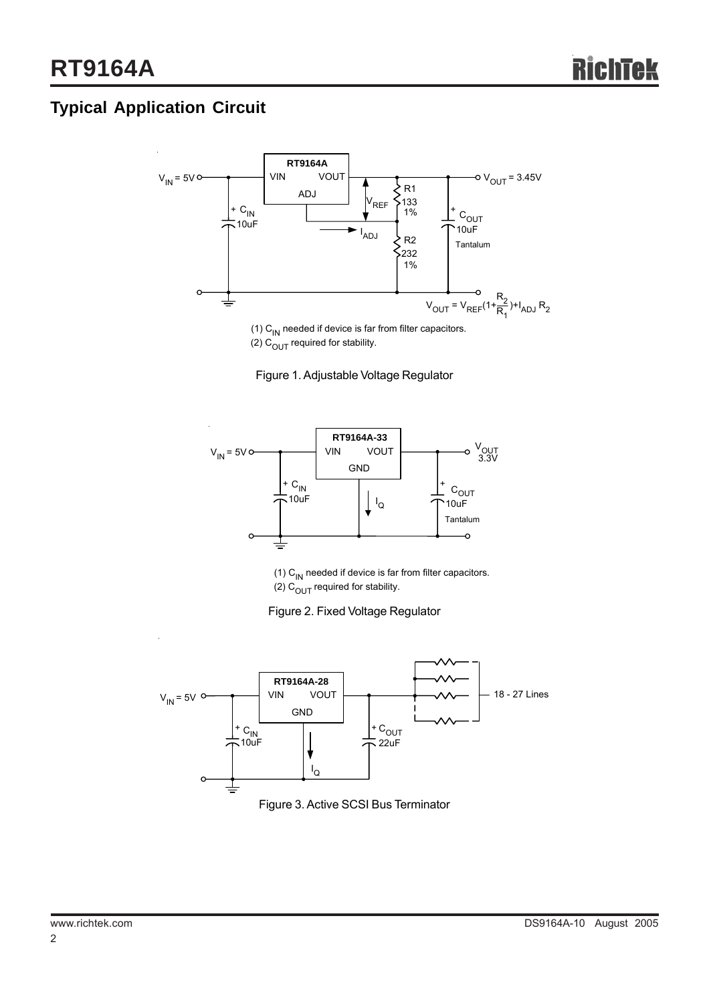## **Typical Application Circuit**



(1)  $C_{IN}$  needed if device is far from filter capacitors. (2)  $C_{\text{OUT}}$  required for stability.





(1)  $C_{\text{IN}}$  needed if device is far from filter capacitors. (2)  $C<sub>OUT</sub>$  required for stability.





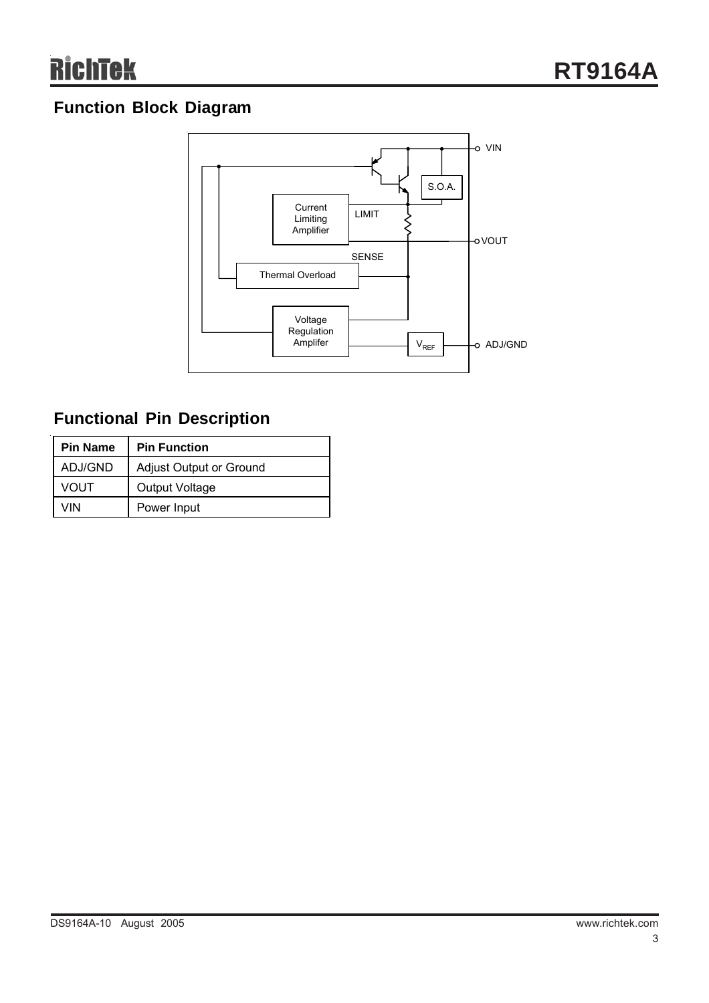## **Function Block Diagram**



## **Functional Pin Description**

| <b>Pin Name</b> | <b>Pin Function</b>            |  |  |  |
|-----------------|--------------------------------|--|--|--|
| ADJ/GND         | <b>Adjust Output or Ground</b> |  |  |  |
| <b>VOUT</b>     | Output Voltage                 |  |  |  |
| VIN             | Power Input                    |  |  |  |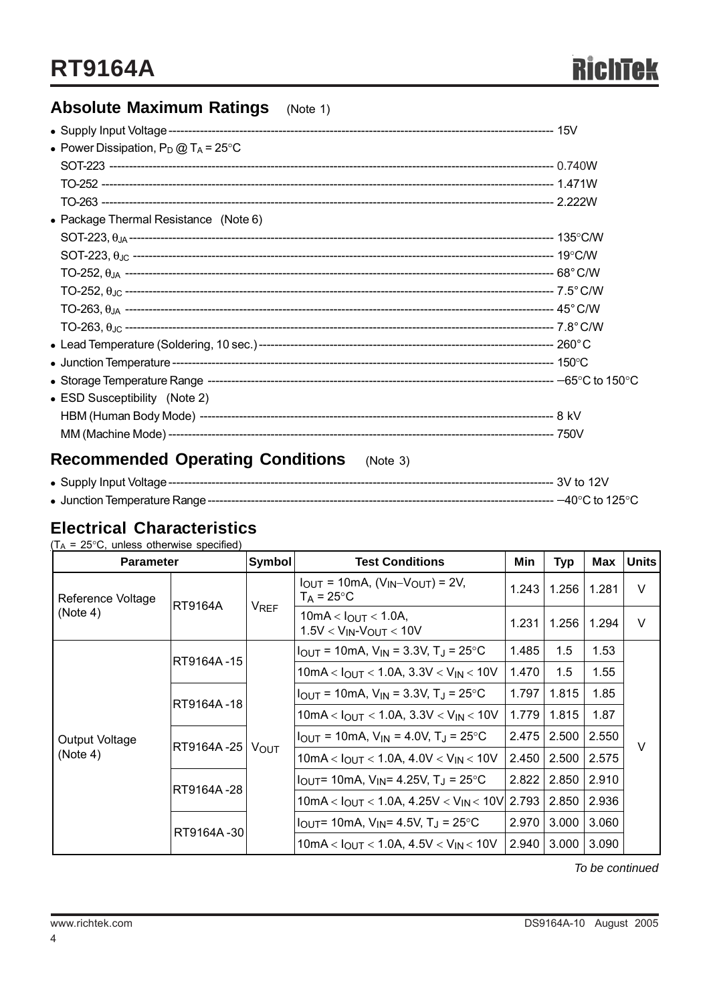## **Absolute Maximum Ratings** (Note 1)

| • Power Dissipation, $P_D @ T_A = 25^{\circ}C$      |  |
|-----------------------------------------------------|--|
|                                                     |  |
|                                                     |  |
|                                                     |  |
| • Package Thermal Resistance (Note 6)               |  |
|                                                     |  |
|                                                     |  |
|                                                     |  |
|                                                     |  |
|                                                     |  |
|                                                     |  |
|                                                     |  |
|                                                     |  |
|                                                     |  |
| • ESD Susceptibility (Note 2)                       |  |
|                                                     |  |
|                                                     |  |
| <b>Recommended Operating Conditions</b><br>(Note 3) |  |

#### **Electrical Characteristics**

 $(T_A = 25^{\circ}C$ , unless otherwise specified)

|                               | Symbol<br><b>Test Conditions</b><br><b>Parameter</b> |                                 |                                                                          | Min            | <b>Typ</b> | Max   | <b>Units</b> |
|-------------------------------|------------------------------------------------------|---------------------------------|--------------------------------------------------------------------------|----------------|------------|-------|--------------|
| Reference Voltage<br>(Note 4) | <b>RT9164A</b>                                       | VREF                            | $I_{OUT}$ = 10mA, $(V_{IN}$ - $V_{OUT})$ = 2V,<br>$T_A$ = 25°C           | 1.256<br>1.243 |            | 1.281 | $\vee$       |
|                               |                                                      |                                 | 10mA < $I_{OUT}$ < 1.0A,<br>$1.5V < V_{IN}$ - $V_{OUT} < 10V$            | 1.231          | 1.256      | 1.294 | $\vee$       |
|                               |                                                      |                                 | $I_{OUT}$ = 10mA, $V_{IN}$ = 3.3V, T <sub>J</sub> = 25°C                 | 1.485          | 1.5        | 1.53  |              |
|                               | RT9164A-15                                           |                                 | $10mA < I_{OUT} < 1.0A$ , $3.3V < V_{IN} < 10V$                          | 1.470          | 1.5        | 1.55  |              |
|                               |                                                      | RT9164A-18<br>RT9164A-25   VOUT | $I_{\text{OUT}}$ = 10mA, $V_{\text{IN}}$ = 3.3V, T <sub>J</sub> = 25 °C  | 1.797          | 1.815      | 1.85  |              |
|                               |                                                      |                                 | 10mA < $I_{OUT}$ < 1.0A, 3.3V < $V_{IN}$ < 10V                           | 1.779          | 1.815      | 1.87  | $\vee$       |
| Output Voltage                |                                                      |                                 | $I_{\text{OUT}}$ = 10mA, $V_{\text{IN}}$ = 4.0V, T <sub>J</sub> = 25 °C  | 2.475          | 2.500      | 2.550 |              |
| (Note 4)                      |                                                      |                                 | $10mA < I_{OUT} < 1.0A, 4.0V < V_{IN} < 10V$                             | 2.450          | 2.500      | 2.575 |              |
|                               | RT9164A-28                                           |                                 | $I_{\text{OUT}}$ = 10mA, $V_{\text{IN}}$ = 4.25V, T <sub>J</sub> = 25 °C | 2.822          | 2.850      | 2.910 |              |
|                               |                                                      |                                 | 10mA < $I_{OUT}$ < 1.0A, 4.25V < $V_{IN}$ < 10V 2.793                    |                | 2.850      | 2.936 |              |
|                               |                                                      |                                 | $I_{\text{OUT}}$ = 10mA, $V_{\text{IN}}$ = 4.5V, T <sub>J</sub> = 25 °C  | 2.970          | 3.000      | 3.060 |              |
|                               | RT9164A-30                                           |                                 | 10mA < $I_{OUT}$ < 1.0A, 4.5V < $V_{IN}$ < 10V                           | 2.940          | 3.000      | 3.090 |              |

 *To be continued*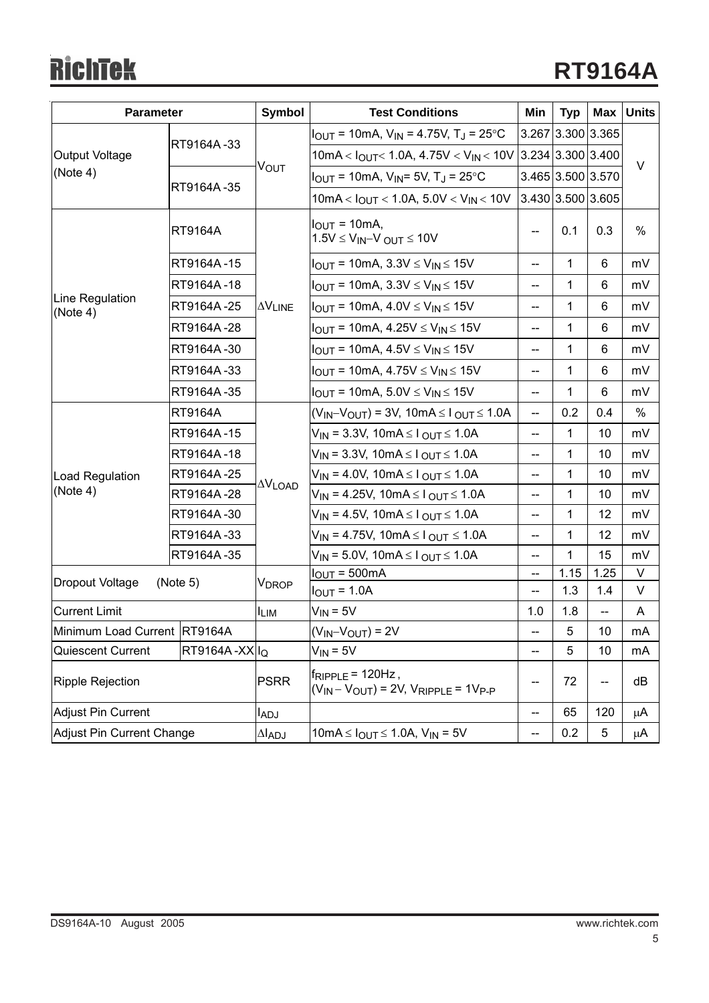# **RichTek**

| <b>Parameter</b>                               |                | Symbol                   | <b>Test Conditions</b>                                                       | Min                                   | <b>Typ</b>        | Max  | <b>Units</b> |
|------------------------------------------------|----------------|--------------------------|------------------------------------------------------------------------------|---------------------------------------|-------------------|------|--------------|
| Output Voltage                                 | RT9164A-33     | <b>VOUT</b>              | $I_{OUT}$ = 10mA, $V_{IN}$ = 4.75V, T <sub>J</sub> = 25°C                    |                                       | 3.267 3.300 3.365 |      |              |
|                                                |                |                          | 10mA < $I_{OUT}$ < 1.0A, 4.75V < $V_{IN}$ < 10V 3.234 3.300 3.400            |                                       |                   |      | $\vee$       |
| (Note 4)                                       |                |                          | $I_{OUT}$ = 10mA, $V_{IN}$ = 5V, T <sub>J</sub> = 25°C                       |                                       | 3.465 3.500 3.570 |      |              |
|                                                | RT9164A-35     |                          | 10mA < $I_{OUT}$ < 1.0A, 5.0V < $V_{IN}$ < 10V                               |                                       | 3.430 3.500 3.605 |      |              |
|                                                | <b>RT9164A</b> |                          | $IOUT = 10mA,$<br>$1.5V \leq V_{IN} - V_{OUT} \leq 10V$                      | --                                    | 0.1               | 0.3  | $\%$         |
|                                                | RT9164A-15     |                          | $I_{OUT}$ = 10mA, 3.3V $\leq$ V <sub>IN</sub> $\leq$ 15V                     | $\overline{\phantom{a}}$              | 1                 | 6    | mV           |
|                                                | RT9164A-18     |                          | $I_{OUT}$ = 10mA, 3.3V $\leq$ V <sub>IN</sub> $\leq$ 15V                     | $\hspace{0.05cm}$ – $\hspace{0.05cm}$ | 1                 | 6    | mV           |
| Line Regulation<br>(Note 4)                    | RT9164A-25     | <b>AVLINE</b>            | $I_{OUT}$ = 10mA, 4.0V $\leq$ V <sub>IN</sub> $\leq$ 15V                     | $\overline{\phantom{a}}$              | 1                 | 6    | mV           |
|                                                | RT9164A-28     |                          | $I_{OUT}$ = 10mA, 4.25V $\leq$ V <sub>IN</sub> $\leq$ 15V                    | $-$                                   | 1                 | 6    | mV           |
|                                                | RT9164A-30     |                          | $I_{OUT}$ = 10mA, 4.5V $\leq$ V <sub>IN</sub> $\leq$ 15V                     | $\overline{\phantom{a}}$              | 1                 | 6    | mV           |
|                                                | RT9164A-33     |                          | $I_{OUT}$ = 10mA, 4.75V $\leq$ V <sub>IN</sub> $\leq$ 15V                    | --                                    | 1                 | 6    | mV           |
|                                                | RT9164A-35     |                          | $I_{OUT}$ = 10mA, 5.0V $\leq$ V <sub>IN</sub> $\leq$ 15V                     | $\overline{\phantom{a}}$              | 1                 | 6    | mV           |
|                                                | <b>RT9164A</b> | $\Delta V_{\text{LOAD}}$ | $(V_{IN}-V_{OUT})$ = 3V, 10mA $\leq$ I $_{OUT}$ $\leq$ 1.0A                  | $\overline{\phantom{a}}$              | 0.2               | 0.4  | %            |
|                                                | RT9164A-15     |                          | $V_{IN}$ = 3.3V, 10mA ≤ $I_{OUT}$ ≤ 1.0A                                     | $\overline{\phantom{a}}$              | 1                 | 10   | mV           |
|                                                | RT9164A-18     |                          | $V_{IN}$ = 3.3V, 10mA $\leq$ I $_{OUT}$ $\leq$ 1.0A                          | --                                    | 1                 | 10   | mV           |
| Load Regulation                                | RT9164A-25     |                          | $V_{IN}$ = 4.0V, 10mA $\leq$ I $_{OUT}$ $\leq$ 1.0A                          | $-$                                   | 1                 | 10   | mV           |
| (Note 4)                                       | RT9164A-28     |                          | $V_{IN}$ = 4.25V, 10mA $\leq$ I $_{OUT}$ $\leq$ 1.0A                         | $\overline{a}$                        | 1                 | 10   | mV           |
|                                                | RT9164A-30     |                          | $V_{IN}$ = 4.5V, 10mA $\leq$ I $_{OUT}$ $\leq$ 1.0A                          | --                                    | 1                 | 12   | mV           |
|                                                | RT9164A-33     |                          | $V_{IN}$ = 4.75V, 10mA $\leq$ I $_{OUT}$ $\leq$ 1.0A                         | $\overline{\phantom{a}}$              | 1                 | 12   | mV           |
|                                                | RT9164A-35     |                          | $V_{IN}$ = 5.0V, 10mA $\leq$ I $_{OUT}$ $\leq$ 1.0A                          | $\overline{\phantom{a}}$              | 1                 | 15   | mV           |
| Dropout Voltage                                | (Note 5)       | V <sub>DROP</sub>        | $IOUT = 500mA$                                                               | --                                    | 1.15              | 1.25 | $\vee$       |
|                                                |                |                          | $I_{OUT} = 1.0A$                                                             | $\hspace{0.05cm}$ – $\hspace{0.05cm}$ | 1.3               | 1.4  | V            |
| <b>Current Limit</b>                           |                | <b>ILIM</b>              | $V_{IN} = 5V$                                                                | 1.0                                   | 1.8               |      | A            |
| Minimum Load Current RT9164A                   |                |                          | $(V_{IN}-V_{OUT}) = 2V$                                                      |                                       | 5                 | 10   | mA           |
| RT9164A-XXII <sub>Q</sub><br>Quiescent Current |                |                          | $V_{IN} = 5V$                                                                | $-$                                   | 5                 | 10   | mA           |
| <b>Ripple Rejection</b>                        |                | <b>PSRR</b>              | $f_{RIPPLE}$ = 120Hz,<br>$(V_{IN} - V_{OUT}) = 2V$ , $V_{RIPPLE} = 1V_{P-P}$ | --                                    | 72                | --   | dB           |
| <b>Adjust Pin Current</b>                      |                | ladj                     |                                                                              | $\overline{\phantom{a}}$              | 65                | 120  | μA           |
| <b>Adjust Pin Current Change</b>               |                | $\Delta I_{ADJ}$         | 10mA ≤ $I_{OUT}$ ≤ 1.0A, $V_{IN}$ = 5V                                       | $\overline{\phantom{a}}$              | 0.2               | 5    | μA           |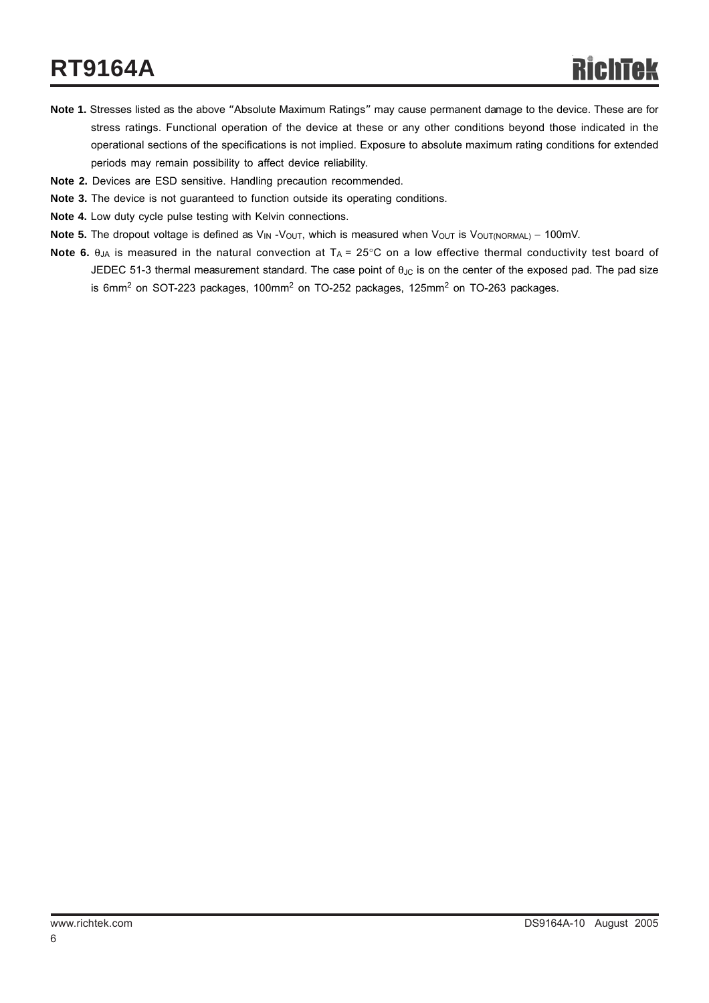## **RT9164A**

- **Note 1.** Stresses listed as the above "Absolute Maximum Ratings" may cause permanent damage to the device. These are for stress ratings. Functional operation of the device at these or any other conditions beyond those indicated in the operational sections of the specifications is not implied. Exposure to absolute maximum rating conditions for extended periods may remain possibility to affect device reliability.
- **Note 2.** Devices are ESD sensitive. Handling precaution recommended.
- **Note 3.** The device is not guaranteed to function outside its operating conditions.
- **Note 4.** Low duty cycle pulse testing with Kelvin connections.
- **Note 5.** The dropout voltage is defined as V<sub>IN</sub> -V<sub>OUT</sub>, which is measured when V<sub>OUT</sub> is V<sub>OUT(NORMAL)</sub> − 100mV.
- **Note 6.** θ<sub>JA</sub> is measured in the natural convection at T<sub>A</sub> = 25°C on a low effective thermal conductivity test board of JEDEC 51-3 thermal measurement standard. The case point of  $\theta_{\text{JC}}$  is on the center of the exposed pad. The pad size is 6mm $^2$  on SOT-223 packages, 100mm $^2$  on TO-252 packages, 125mm $^2$  on TO-263 packages.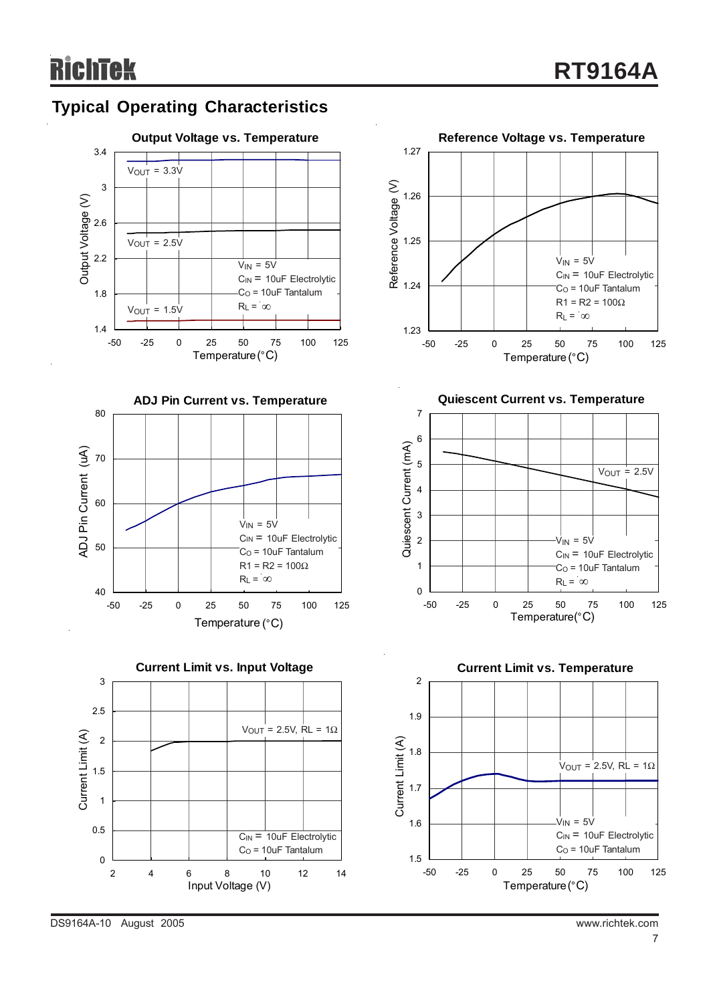## **Typical Operating Characteristics**









**Quiescent Current vs. Temperature**





DS9164A-10 August 2005 www.richtek.com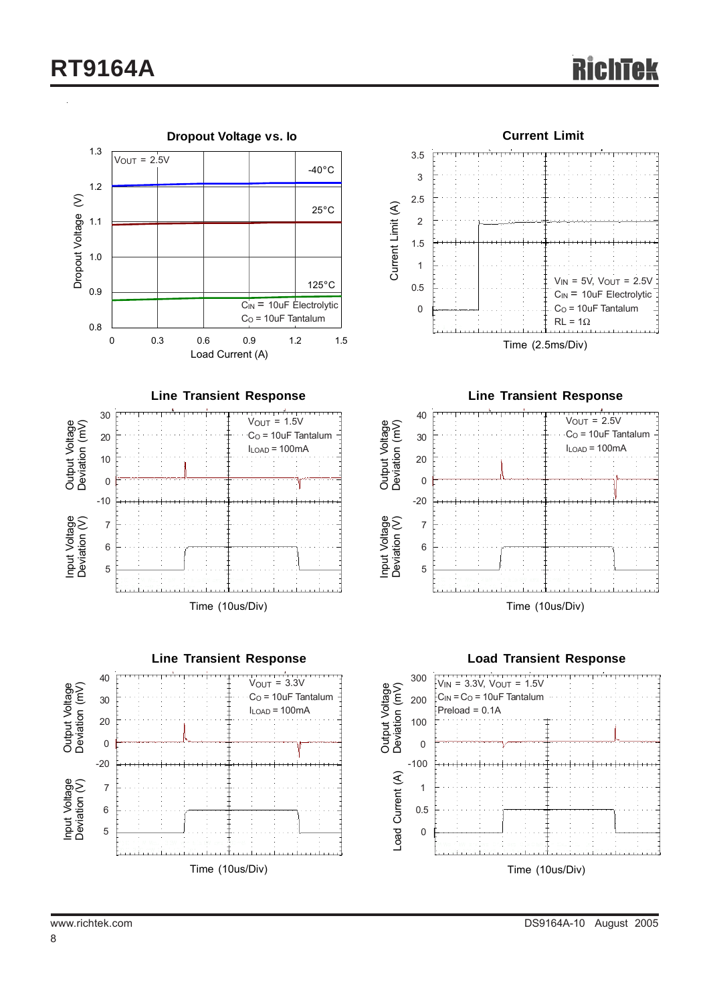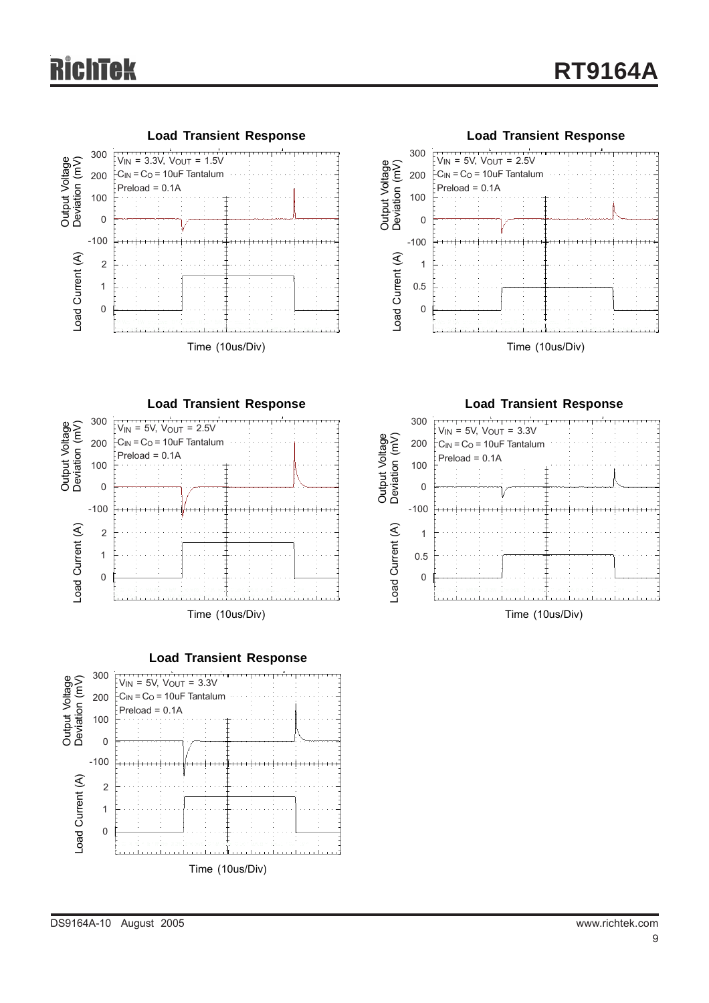







**Load Transient Response**



Time (10us/Div)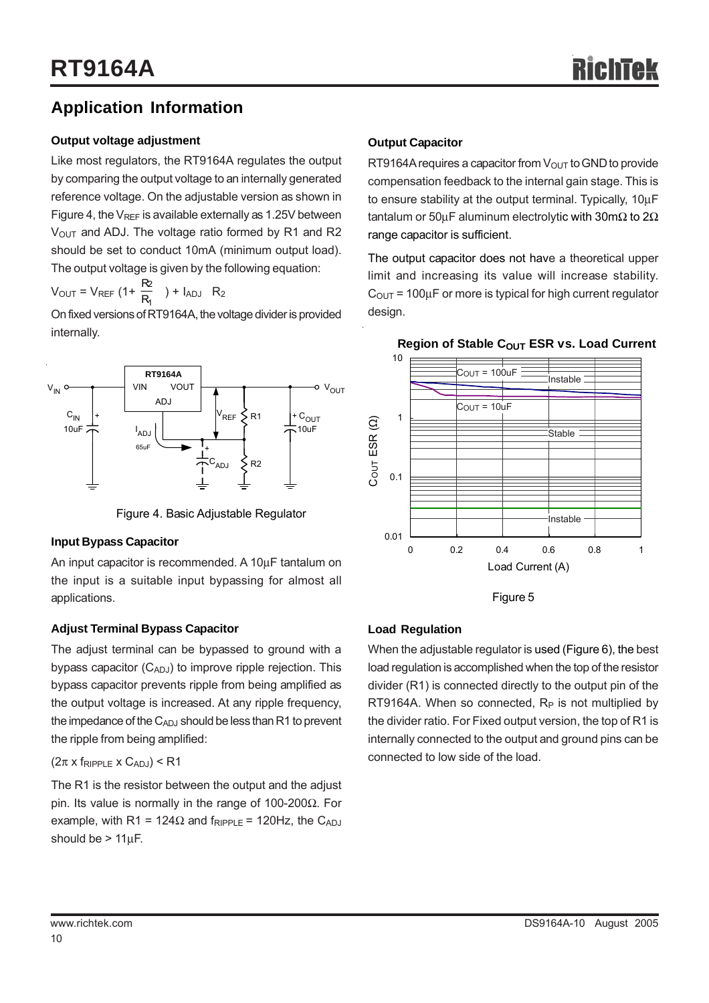## **Application Information**

#### **Output voltage adjustment**

Like most regulators, the RT9164A regulates the output by comparing the output voltage to an internally generated reference voltage. On the adjustable version as shown in Figure 4, the  $V_{REF}$  is available externally as 1.25V between  $V<sub>OUT</sub>$  and ADJ. The voltage ratio formed by R1 and R2 should be set to conduct 10mA (minimum output load). The output voltage is given by the following equation:

 $V_{\text{OUT}} = V_{\text{REF}} (1 + \frac{12}{R_1})$ 2  $\frac{\mathsf{R2}}{\mathsf{R_1}}$  ) +  $\mathsf{I}_{\mathsf{ADJ}}$  R<sub>2</sub>

On fixed versions of RT9164A, the voltage divider is provided internally.



Figure 4. Basic Adjustable Regulator

#### **Input Bypass Capacitor**

An input capacitor is recommended. A 10μF tantalum on the input is a suitable input bypassing for almost all applications.

#### **Adjust Terminal Bypass Capacitor**

The adjust terminal can be bypassed to ground with a bypass capacitor  $(C_{ADJ})$  to improve ripple rejection. This bypass capacitor prevents ripple from being amplified as the output voltage is increased. At any ripple frequency, the impedance of the  $C_{ADJ}$  should be less than R1 to prevent the ripple from being amplified:

#### $(2\pi \times f_{RIPPLE} \times C_{ADJ})$  < R1

The R1 is the resistor between the output and the adjust pin. Its value is normally in the range of 100-200Ω. For example, with R1 = 124 $\Omega$  and f<sub>RIPPLE</sub> = 120Hz, the C<sub>ADJ</sub> should be  $> 11 \mu F$ .

#### **Output Capacitor**

RT9164A requires a capacitor from  $V_{\text{OUT}}$  to GND to provide compensation feedback to the internal gain stage. This is to ensure stability at the output terminal. Typically, 10μF tantalum or 50μF aluminum electrolytic with 30m $\Omega$  to 2 $\Omega$ range capacitor is sufficient.

The output capacitor does not have a theoretical upper limit and increasing its value will increase stability.  $C_{\text{OUT}}$  = 100 $\mu$ F or more is typical for high current regulator design.



#### **Region of Stable COUT ESR vs. Load Current**

Figure 5

#### **Load Regulation**

When the adjustable regulator is used (Figure 6), the best load regulation is accomplished when the top of the resistor divider (R1) is connected directly to the output pin of the RT9164A. When so connected,  $R_P$  is not multiplied by the divider ratio. For Fixed output version, the top of R1 is internally connected to the output and ground pins can be connected to low side of the load.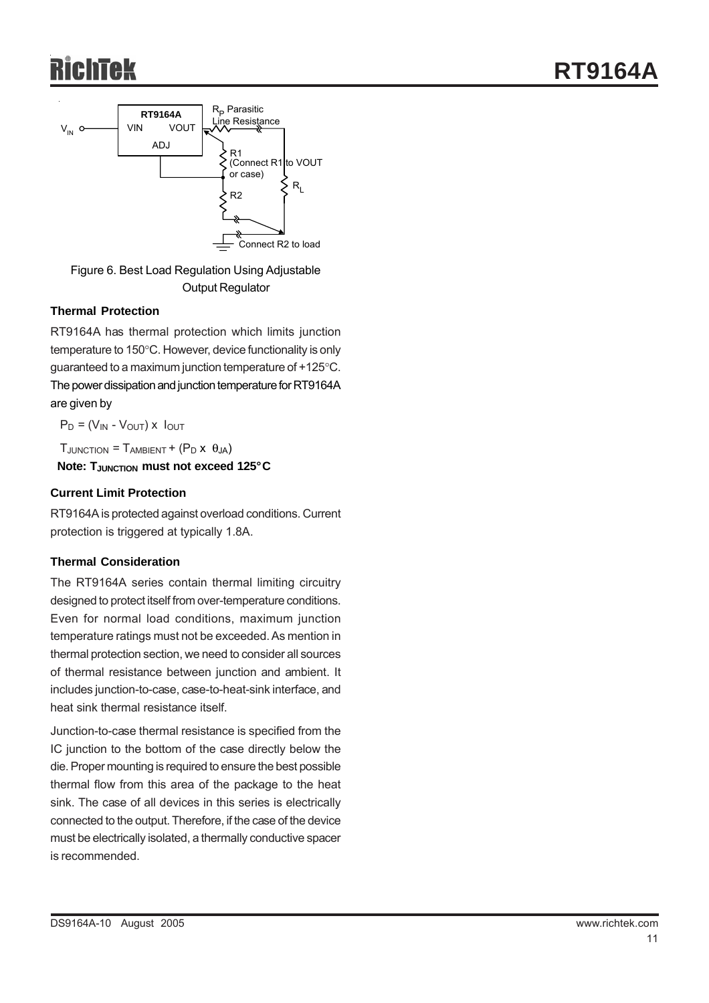

Figure 6. Best Load Regulation Using Adjustable Output Regulator

#### **Thermal Protection**

RT9164A has thermal protection which limits junction temperature to 150°C. However, device functionality is only guaranteed to a maximum junction temperature of +125°C. The power dissipation and junction temperature for RT9164A are given by

 $P_D = (V_{IN} - V_{OUT}) \times I_{OUT}$ 

 $T_{\text{JUNCTION}} = T_{\text{AMRIENT}} + (P_{\text{D}} \times \theta_{\text{IA}})$ 

**Note: THUNCTION must not exceed 125°C** 

#### **Current Limit Protection**

RT9164A is protected against overload conditions. Current protection is triggered at typically 1.8A.

#### **Thermal Consideration**

The RT9164A series contain thermal limiting circuitry designed to protect itself from over-temperature conditions. Even for normal load conditions, maximum junction temperature ratings must not be exceeded. As mention in thermal protection section, we need to consider all sources of thermal resistance between junction and ambient. It includes junction-to-case, case-to-heat-sink interface, and heat sink thermal resistance itself.

Junction-to-case thermal resistance is specified from the IC junction to the bottom of the case directly below the die. Proper mounting is required to ensure the best possible thermal flow from this area of the package to the heat sink. The case of all devices in this series is electrically connected to the output. Therefore, if the case of the device must be electrically isolated, a thermally conductive spacer is recommended.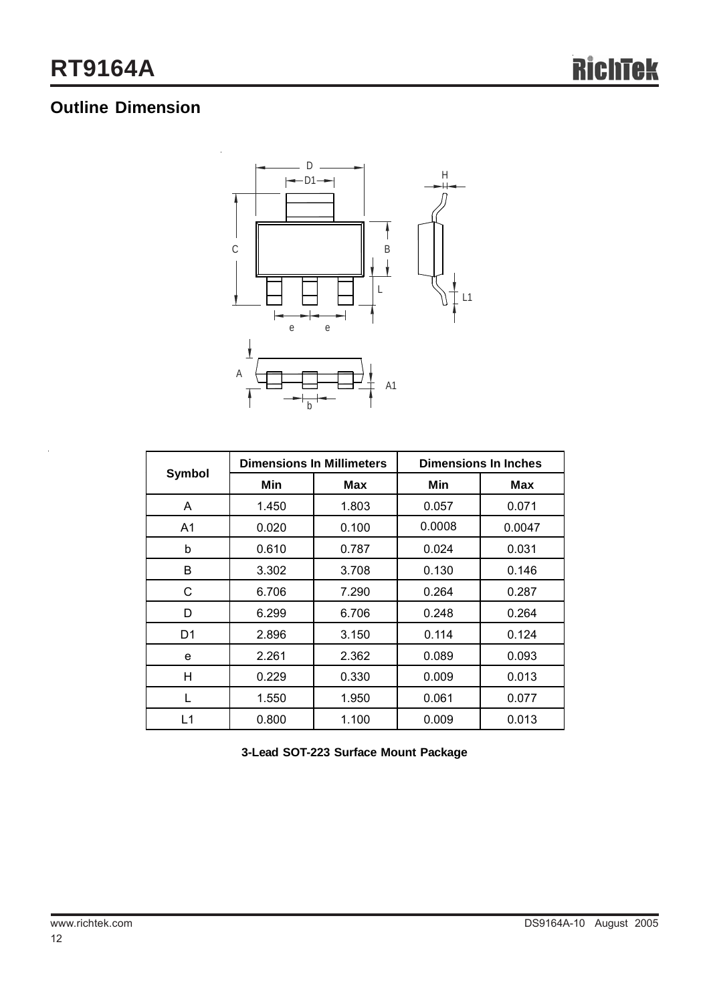## **Outline Dimension**



| <b>Symbol</b> |       | <b>Dimensions In Millimeters</b> | <b>Dimensions In Inches</b> |        |  |
|---------------|-------|----------------------------------|-----------------------------|--------|--|
|               | Min   | Max                              | Min                         | Max    |  |
| A             | 1.450 | 1.803                            | 0.057                       | 0.071  |  |
| A1            | 0.020 | 0.100                            | 0.0008                      | 0.0047 |  |
| b             | 0.610 | 0.787                            | 0.024                       | 0.031  |  |
| B             | 3.302 | 3.708                            | 0.130                       | 0.146  |  |
| C             | 6.706 | 7.290                            | 0.264                       | 0.287  |  |
| D             | 6.299 | 6.706                            | 0.248                       | 0.264  |  |
| D1            | 2.896 | 3.150                            | 0.114                       | 0.124  |  |
| e             | 2.261 | 2.362                            | 0.089                       | 0.093  |  |
| н             | 0.229 | 0.330                            | 0.009                       | 0.013  |  |
| L             | 1.550 | 1.950                            | 0.061                       | 0.077  |  |
| L1            | 0.800 | 1.100                            | 0.009                       | 0.013  |  |

**3-Lead SOT-223 Surface Mount Package**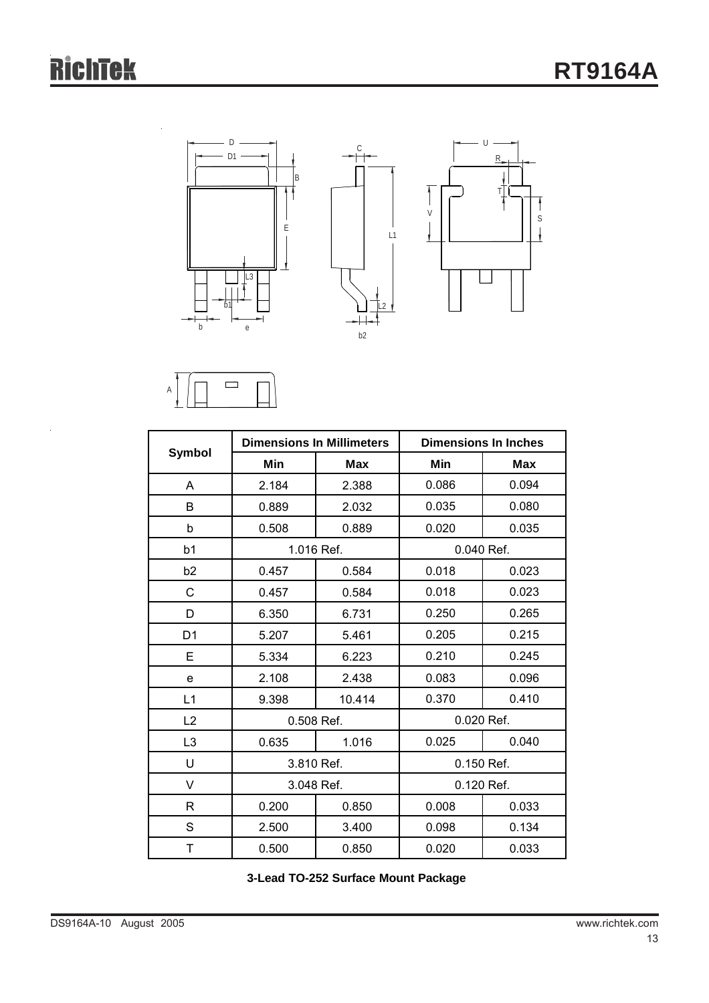S

 $\frac{1}{2}$ 

Î





|                |            | <b>Dimensions In Millimeters</b> | <b>Dimensions In Inches</b> |            |  |
|----------------|------------|----------------------------------|-----------------------------|------------|--|
| <b>Symbol</b>  | Min        | <b>Max</b>                       | Min                         | <b>Max</b> |  |
| A              | 2.184      | 2.388                            | 0.086                       | 0.094      |  |
| B              | 0.889      | 2.032                            | 0.035                       | 0.080      |  |
| b              | 0.508      | 0.889                            | 0.020                       | 0.035      |  |
| b1             |            | 1.016 Ref.                       | 0.040 Ref.                  |            |  |
| b <sub>2</sub> | 0.457      | 0.584                            | 0.018                       | 0.023      |  |
| $\mathsf{C}$   | 0.457      | 0.584                            | 0.018                       | 0.023      |  |
| D              | 6.350      | 6.731                            | 0.250                       | 0.265      |  |
| D <sub>1</sub> | 5.207      | 5.461                            | 0.205                       | 0.215      |  |
| E              | 5.334      | 6.223                            | 0.210                       | 0.245      |  |
| e              | 2.108      | 2.438                            | 0.083                       | 0.096      |  |
| L1             | 9.398      | 10.414                           | 0.370                       | 0.410      |  |
| L2             | 0.508 Ref. |                                  | 0.020 Ref.                  |            |  |
| L <sub>3</sub> | 0.635      | 1.016                            | 0.025                       | 0.040      |  |
| U              |            | 3.810 Ref.                       | 0.150 Ref.                  |            |  |
| V              | 3.048 Ref. |                                  | 0.120 Ref.                  |            |  |
| R              | 0.200      | 0.850                            | 0.008                       | 0.033      |  |
| S              | 2.500      | 3.400                            | 0.098                       | 0.134      |  |
| Τ              | 0.500      | 0.850                            | 0.020                       | 0.033      |  |

**3-Lead TO-252 Surface Mount Package**